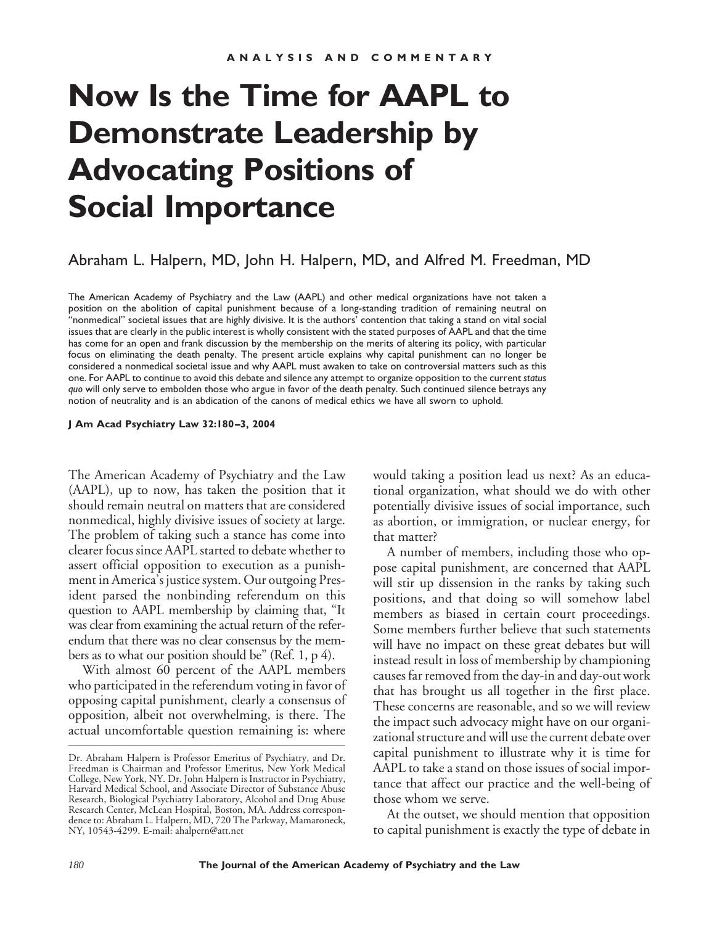## **Now Is the Time for AAPL to Demonstrate Leadership by Advocating Positions of Social Importance**

## Abraham L. Halpern, MD, John H. Halpern, MD, and Alfred M. Freedman, MD

The American Academy of Psychiatry and the Law (AAPL) and other medical organizations have not taken a position on the abolition of capital punishment because of a long-standing tradition of remaining neutral on "nonmedical" societal issues that are highly divisive. It is the authors' contention that taking a stand on vital social issues that are clearly in the public interest is wholly consistent with the stated purposes of AAPL and that the time has come for an open and frank discussion by the membership on the merits of altering its policy, with particular focus on eliminating the death penalty. The present article explains why capital punishment can no longer be considered a nonmedical societal issue and why AAPL must awaken to take on controversial matters such as this one. For AAPL to continue to avoid this debate and silence any attempt to organize opposition to the current *status quo* will only serve to embolden those who argue in favor of the death penalty. Such continued silence betrays any notion of neutrality and is an abdication of the canons of medical ethics we have all sworn to uphold.

## **J Am Acad Psychiatry Law 32:180–3, 2004**

The American Academy of Psychiatry and the Law (AAPL), up to now, has taken the position that it should remain neutral on matters that are considered nonmedical, highly divisive issues of society at large. The problem of taking such a stance has come into clearer focus since AAPL started to debate whether to assert official opposition to execution as a punishment in America's justice system. Our outgoing President parsed the nonbinding referendum on this question to AAPL membership by claiming that, "It was clear from examining the actual return of the referendum that there was no clear consensus by the members as to what our position should be" (Ref. 1, p 4).

With almost 60 percent of the AAPL members who participated in the referendum voting in favor of opposing capital punishment, clearly a consensus of opposition, albeit not overwhelming, is there. The actual uncomfortable question remaining is: where

would taking a position lead us next? As an educational organization, what should we do with other potentially divisive issues of social importance, such as abortion, or immigration, or nuclear energy, for that matter?

A number of members, including those who oppose capital punishment, are concerned that AAPL will stir up dissension in the ranks by taking such positions, and that doing so will somehow label members as biased in certain court proceedings. Some members further believe that such statements will have no impact on these great debates but will instead result in loss of membership by championing causes far removed from the day-in and day-out work that has brought us all together in the first place. These concerns are reasonable, and so we will review the impact such advocacy might have on our organizational structure and will use the current debate over capital punishment to illustrate why it is time for AAPL to take a stand on those issues of social importance that affect our practice and the well-being of those whom we serve.

At the outset, we should mention that opposition to capital punishment is exactly the type of debate in

Dr. Abraham Halpern is Professor Emeritus of Psychiatry, and Dr. Freedman is Chairman and Professor Emeritus, New York Medical College, New York, NY. Dr. John Halpern is Instructor in Psychiatry, Harvard Medical School, and Associate Director of Substance Abuse Research, Biological Psychiatry Laboratory, Alcohol and Drug Abuse Research Center, McLean Hospital, Boston, MA. Address correspondence to: Abraham L. Halpern, MD, 720 The Parkway, Mamaroneck, NY, 10543-4299. E-mail: ahalpern@att.net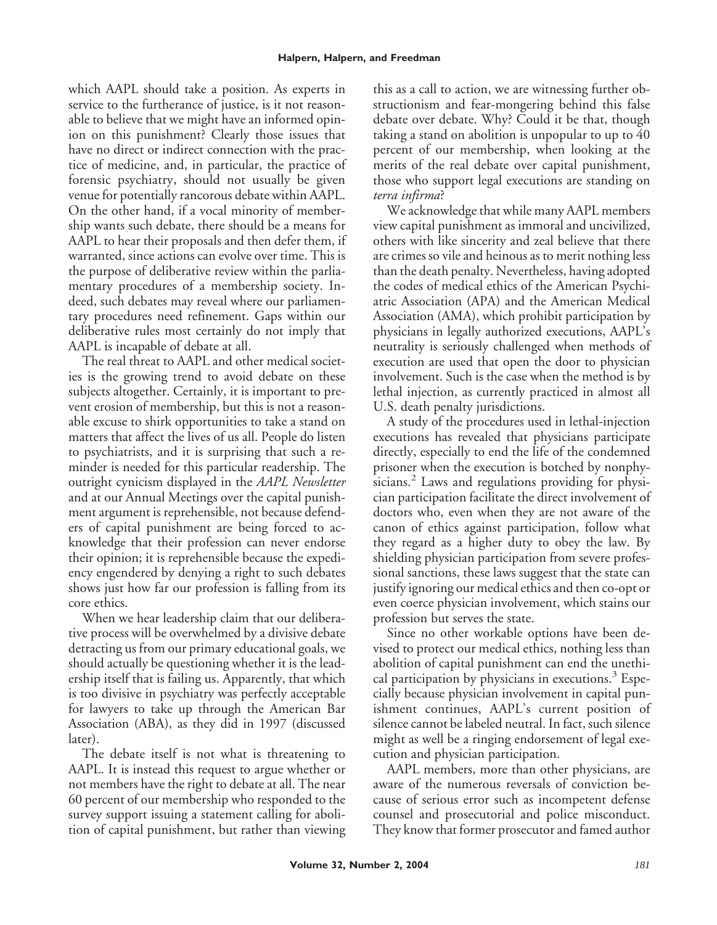which AAPL should take a position. As experts in service to the furtherance of justice, is it not reasonable to believe that we might have an informed opinion on this punishment? Clearly those issues that have no direct or indirect connection with the practice of medicine, and, in particular, the practice of forensic psychiatry, should not usually be given venue for potentially rancorous debate within AAPL. On the other hand, if a vocal minority of membership wants such debate, there should be a means for AAPL to hear their proposals and then defer them, if warranted, since actions can evolve over time. This is the purpose of deliberative review within the parliamentary procedures of a membership society. Indeed, such debates may reveal where our parliamentary procedures need refinement. Gaps within our deliberative rules most certainly do not imply that AAPL is incapable of debate at all.

The real threat to AAPL and other medical societies is the growing trend to avoid debate on these subjects altogether. Certainly, it is important to prevent erosion of membership, but this is not a reasonable excuse to shirk opportunities to take a stand on matters that affect the lives of us all. People do listen to psychiatrists, and it is surprising that such a reminder is needed for this particular readership. The outright cynicism displayed in the *AAPL Newsletter* and at our Annual Meetings over the capital punishment argument is reprehensible, not because defenders of capital punishment are being forced to acknowledge that their profession can never endorse their opinion; it is reprehensible because the expediency engendered by denying a right to such debates shows just how far our profession is falling from its core ethics.

When we hear leadership claim that our deliberative process will be overwhelmed by a divisive debate detracting us from our primary educational goals, we should actually be questioning whether it is the leadership itself that is failing us. Apparently, that which is too divisive in psychiatry was perfectly acceptable for lawyers to take up through the American Bar Association (ABA), as they did in 1997 (discussed later).

The debate itself is not what is threatening to AAPL. It is instead this request to argue whether or not members have the right to debate at all. The near 60 percent of our membership who responded to the survey support issuing a statement calling for abolition of capital punishment, but rather than viewing

this as a call to action, we are witnessing further obstructionism and fear-mongering behind this false debate over debate. Why? Could it be that, though taking a stand on abolition is unpopular to up to 40 percent of our membership, when looking at the merits of the real debate over capital punishment, those who support legal executions are standing on *terra infirma*?

We acknowledge that while many AAPL members view capital punishment as immoral and uncivilized, others with like sincerity and zeal believe that there are crimes so vile and heinous as to merit nothing less than the death penalty. Nevertheless, having adopted the codes of medical ethics of the American Psychiatric Association (APA) and the American Medical Association (AMA), which prohibit participation by physicians in legally authorized executions, AAPL's neutrality is seriously challenged when methods of execution are used that open the door to physician involvement. Such is the case when the method is by lethal injection, as currently practiced in almost all U.S. death penalty jurisdictions.

A study of the procedures used in lethal-injection executions has revealed that physicians participate directly, especially to end the life of the condemned prisoner when the execution is botched by nonphysicians.<sup>2</sup> Laws and regulations providing for physician participation facilitate the direct involvement of doctors who, even when they are not aware of the canon of ethics against participation, follow what they regard as a higher duty to obey the law. By shielding physician participation from severe professional sanctions, these laws suggest that the state can justify ignoring our medical ethics and then co-opt or even coerce physician involvement, which stains our profession but serves the state.

Since no other workable options have been devised to protect our medical ethics, nothing less than abolition of capital punishment can end the unethical participation by physicians in executions.<sup>3</sup> Especially because physician involvement in capital punishment continues, AAPL's current position of silence cannot be labeled neutral. In fact, such silence might as well be a ringing endorsement of legal execution and physician participation.

AAPL members, more than other physicians, are aware of the numerous reversals of conviction because of serious error such as incompetent defense counsel and prosecutorial and police misconduct. They know that former prosecutor and famed author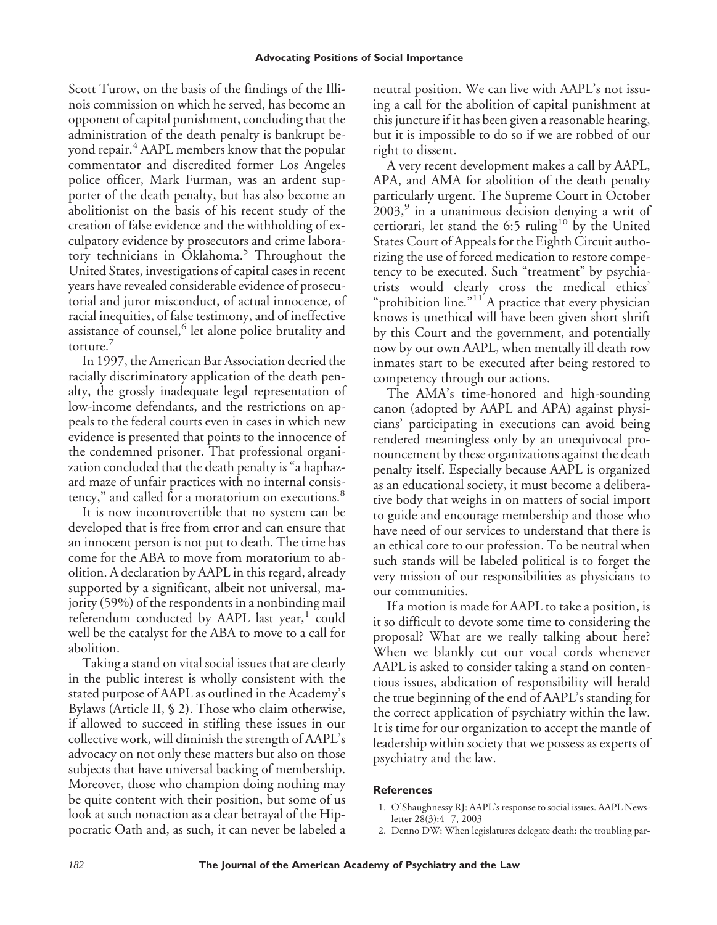Scott Turow, on the basis of the findings of the Illinois commission on which he served, has become an opponent of capital punishment, concluding that the administration of the death penalty is bankrupt beyond repair.<sup>4</sup> AAPL members know that the popular commentator and discredited former Los Angeles police officer, Mark Furman, was an ardent supporter of the death penalty, but has also become an abolitionist on the basis of his recent study of the creation of false evidence and the withholding of exculpatory evidence by prosecutors and crime laboratory technicians in Oklahoma.<sup>5</sup> Throughout the United States, investigations of capital cases in recent years have revealed considerable evidence of prosecutorial and juror misconduct, of actual innocence, of racial inequities, of false testimony, and of ineffective assistance of counsel,<sup>6</sup> let alone police brutality and torture.<sup>7</sup>

In 1997, the American Bar Association decried the racially discriminatory application of the death penalty, the grossly inadequate legal representation of low-income defendants, and the restrictions on appeals to the federal courts even in cases in which new evidence is presented that points to the innocence of the condemned prisoner. That professional organization concluded that the death penalty is "a haphazard maze of unfair practices with no internal consistency," and called for a moratorium on executions.<sup>8</sup>

It is now incontrovertible that no system can be developed that is free from error and can ensure that an innocent person is not put to death. The time has come for the ABA to move from moratorium to abolition. A declaration by AAPL in this regard, already supported by a significant, albeit not universal, majority (59%) of the respondents in a nonbinding mail referendum conducted by AAPL last year, $<sup>1</sup>$  could</sup> well be the catalyst for the ABA to move to a call for abolition.

Taking a stand on vital social issues that are clearly in the public interest is wholly consistent with the stated purpose of AAPL as outlined in the Academy's Bylaws (Article II, § 2). Those who claim otherwise, if allowed to succeed in stifling these issues in our collective work, will diminish the strength of AAPL's advocacy on not only these matters but also on those subjects that have universal backing of membership. Moreover, those who champion doing nothing may be quite content with their position, but some of us look at such nonaction as a clear betrayal of the Hippocratic Oath and, as such, it can never be labeled a

neutral position. We can live with AAPL's not issuing a call for the abolition of capital punishment at this juncture if it has been given a reasonable hearing, but it is impossible to do so if we are robbed of our right to dissent.

A very recent development makes a call by AAPL, APA, and AMA for abolition of the death penalty particularly urgent. The Supreme Court in October  $2003$ , in a unanimous decision denying a writ of certiorari, let stand the  $6:5$  ruling<sup>10</sup> by the United States Court of Appeals for the Eighth Circuit authorizing the use of forced medication to restore competency to be executed. Such "treatment" by psychiatrists would clearly cross the medical ethics' "prohibition line."<sup>11</sup> A practice that every physician knows is unethical will have been given short shrift by this Court and the government, and potentially now by our own AAPL, when mentally ill death row inmates start to be executed after being restored to competency through our actions.

The AMA's time-honored and high-sounding canon (adopted by AAPL and APA) against physicians' participating in executions can avoid being rendered meaningless only by an unequivocal pronouncement by these organizations against the death penalty itself. Especially because AAPL is organized as an educational society, it must become a deliberative body that weighs in on matters of social import to guide and encourage membership and those who have need of our services to understand that there is an ethical core to our profession. To be neutral when such stands will be labeled political is to forget the very mission of our responsibilities as physicians to our communities.

If a motion is made for AAPL to take a position, is it so difficult to devote some time to considering the proposal? What are we really talking about here? When we blankly cut our vocal cords whenever AAPL is asked to consider taking a stand on contentious issues, abdication of responsibility will herald the true beginning of the end of AAPL's standing for the correct application of psychiatry within the law. It is time for our organization to accept the mantle of leadership within society that we possess as experts of psychiatry and the law.

## **References**

- 1. O'Shaughnessy RJ: AAPL's response to social issues. AAPL Newsletter 28(3):4–7, 2003
- 2. Denno DW: When legislatures delegate death: the troubling par-